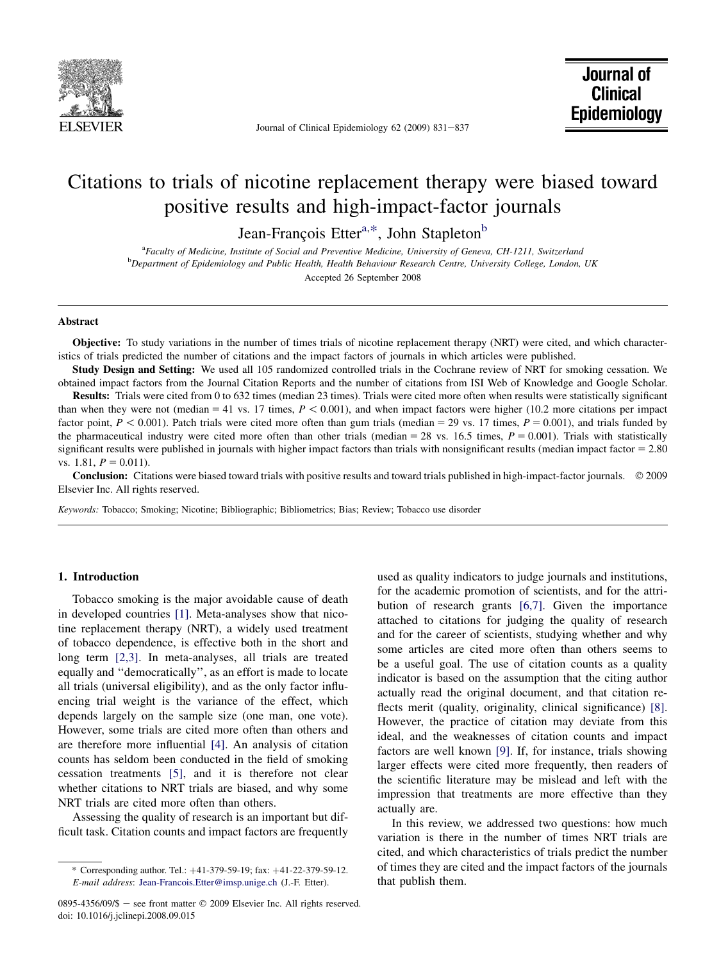

Journal of Clinical Epidemiology 62 (2009) 831-837

# Citations to trials of nicotine replacement therapy were biased toward positive results and high-impact-factor journals

Jean-François Etter<sup>a,\*</sup>, John Stapleton<sup>b</sup>

<sup>a</sup>Faculty of Medicine, Institute of Social and Preventive Medicine, University of Geneva, CH-1211, Switzerland **b** Department of Epidemiology and Public Health, Health Behaviour Research Centre, University College, London, UK

Accepted 26 September 2008

# Abstract

Objective: To study variations in the number of times trials of nicotine replacement therapy (NRT) were cited, and which characteristics of trials predicted the number of citations and the impact factors of journals in which articles were published.

Study Design and Setting: We used all 105 randomized controlled trials in the Cochrane review of NRT for smoking cessation. We obtained impact factors from the Journal Citation Reports and the number of citations from ISI Web of Knowledge and Google Scholar.

Results: Trials were cited from 0 to 632 times (median 23 times). Trials were cited more often when results were statistically significant than when they were not (median  $= 41$  vs. 17 times,  $P < 0.001$ ), and when impact factors were higher (10.2 more citations per impact factor point,  $P < 0.001$ ). Patch trials were cited more often than gum trials (median = 29 vs. 17 times,  $P = 0.001$ ), and trials funded by the pharmaceutical industry were cited more often than other trials (median = 28 vs. 16.5 times,  $P = 0.001$ ). Trials with statistically significant results were published in journals with higher impact factors than trials with nonsignificant results (median impact factor = 2.80) vs. 1.81,  $P = 0.011$ .

Conclusion: Citations were biased toward trials with positive results and toward trials published in high-impact-factor journals. © 2009 Elsevier Inc. All rights reserved.

Keywords: Tobacco; Smoking; Nicotine; Bibliographic; Bibliometrics; Bias; Review; Tobacco use disorder

# 1. Introduction

Tobacco smoking is the major avoidable cause of death in developed countries [\[1\].](#page-5-0) Meta-analyses show that nicotine replacement therapy (NRT), a widely used treatment of tobacco dependence, is effective both in the short and long term [\[2,3\]](#page-5-0). In meta-analyses, all trials are treated equally and ''democratically'', as an effort is made to locate all trials (universal eligibility), and as the only factor influencing trial weight is the variance of the effect, which depends largely on the sample size (one man, one vote). However, some trials are cited more often than others and are therefore more influential [\[4\]](#page-5-0). An analysis of citation counts has seldom been conducted in the field of smoking cessation treatments [\[5\],](#page-5-0) and it is therefore not clear whether citations to NRT trials are biased, and why some NRT trials are cited more often than others.

Assessing the quality of research is an important but difficult task. Citation counts and impact factors are frequently used as quality indicators to judge journals and institutions, for the academic promotion of scientists, and for the attribution of research grants [\[6,7\].](#page-5-0) Given the importance attached to citations for judging the quality of research and for the career of scientists, studying whether and why some articles are cited more often than others seems to be a useful goal. The use of citation counts as a quality indicator is based on the assumption that the citing author actually read the original document, and that citation re-flects merit (quality, originality, clinical significance) [\[8\]](#page-5-0). However, the practice of citation may deviate from this ideal, and the weaknesses of citation counts and impact factors are well known [\[9\]](#page-5-0). If, for instance, trials showing larger effects were cited more frequently, then readers of the scientific literature may be mislead and left with the impression that treatments are more effective than they actually are.

In this review, we addressed two questions: how much variation is there in the number of times NRT trials are cited, and which characteristics of trials predict the number of times they are cited and the impact factors of the journals that publish them.

<sup>\*</sup> Corresponding author. Tel.:  $+41-379-59-19$ ; fax:  $+41-22-379-59-12$ . E-mail address: [Jean-Francois.Etter@imsp.unige.ch](mailto:Jean-Francois.Etter@imsp.unige.ch) (J.-F. Etter).

<sup>0895-4356/09/\$ -</sup> see front matter © 2009 Elsevier Inc. All rights reserved. doi: 10.1016/j.jclinepi.2008.09.015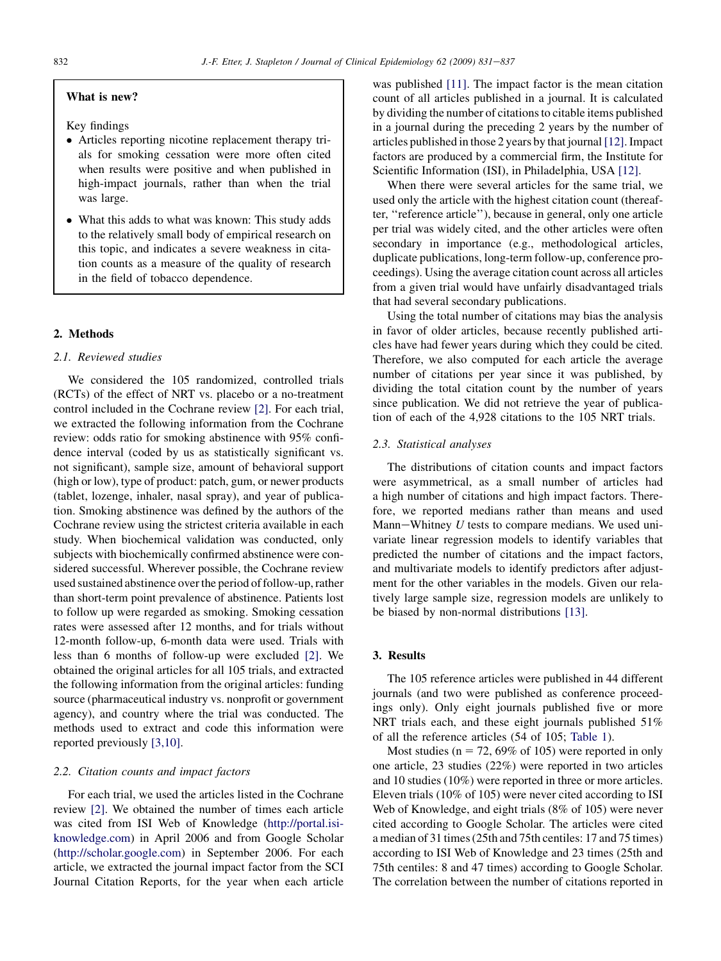# What is new?

# Key findings

- Articles reporting nicotine replacement therapy trials for smoking cessation were more often cited when results were positive and when published in high-impact journals, rather than when the trial was large.
- What this adds to what was known: This study adds to the relatively small body of empirical research on this topic, and indicates a severe weakness in citation counts as a measure of the quality of research in the field of tobacco dependence.

# 2. Methods

## 2.1. Reviewed studies

We considered the 105 randomized, controlled trials (RCTs) of the effect of NRT vs. placebo or a no-treatment control included in the Cochrane review [\[2\]](#page-5-0). For each trial, we extracted the following information from the Cochrane review: odds ratio for smoking abstinence with 95% confidence interval (coded by us as statistically significant vs. not significant), sample size, amount of behavioral support (high or low), type of product: patch, gum, or newer products (tablet, lozenge, inhaler, nasal spray), and year of publication. Smoking abstinence was defined by the authors of the Cochrane review using the strictest criteria available in each study. When biochemical validation was conducted, only subjects with biochemically confirmed abstinence were considered successful. Wherever possible, the Cochrane review used sustained abstinence over the period of follow-up, rather than short-term point prevalence of abstinence. Patients lost to follow up were regarded as smoking. Smoking cessation rates were assessed after 12 months, and for trials without 12-month follow-up, 6-month data were used. Trials with less than 6 months of follow-up were excluded [\[2\].](#page-5-0) We obtained the original articles for all 105 trials, and extracted the following information from the original articles: funding source (pharmaceutical industry vs. nonprofit or government agency), and country where the trial was conducted. The methods used to extract and code this information were reported previously [\[3,10\].](#page-5-0)

## 2.2. Citation counts and impact factors

For each trial, we used the articles listed in the Cochrane review [\[2\]](#page-5-0). We obtained the number of times each article was cited from ISI Web of Knowledge ([http://portal.isi](http://portal.isiknowledge.com)[knowledge.com\)](http://portal.isiknowledge.com) in April 2006 and from Google Scholar [\(http://scholar.google.com](http://scholar.google.com)) in September 2006. For each article, we extracted the journal impact factor from the SCI Journal Citation Reports, for the year when each article

was published [\[11\]](#page-5-0). The impact factor is the mean citation count of all articles published in a journal. It is calculated by dividing the number of citations to citable items published in a journal during the preceding 2 years by the number of articles published in those 2 years by that journal[\[12\]](#page-5-0). Impact factors are produced by a commercial firm, the Institute for Scientific Information (ISI), in Philadelphia, USA [\[12\]](#page-5-0).

When there were several articles for the same trial, we used only the article with the highest citation count (thereafter, ''reference article''), because in general, only one article per trial was widely cited, and the other articles were often secondary in importance (e.g., methodological articles, duplicate publications, long-term follow-up, conference proceedings). Using the average citation count across all articles from a given trial would have unfairly disadvantaged trials that had several secondary publications.

Using the total number of citations may bias the analysis in favor of older articles, because recently published articles have had fewer years during which they could be cited. Therefore, we also computed for each article the average number of citations per year since it was published, by dividing the total citation count by the number of years since publication. We did not retrieve the year of publication of each of the 4,928 citations to the 105 NRT trials.

# 2.3. Statistical analyses

The distributions of citation counts and impact factors were asymmetrical, as a small number of articles had a high number of citations and high impact factors. Therefore, we reported medians rather than means and used Mann-Whitney  $U$  tests to compare medians. We used univariate linear regression models to identify variables that predicted the number of citations and the impact factors, and multivariate models to identify predictors after adjustment for the other variables in the models. Given our relatively large sample size, regression models are unlikely to be biased by non-normal distributions [\[13\]](#page-5-0).

#### 3. Results

The 105 reference articles were published in 44 different journals (and two were published as conference proceedings only). Only eight journals published five or more NRT trials each, and these eight journals published 51% of all the reference articles (54 of 105; [Table 1\)](#page-2-0).

Most studies ( $n = 72$ , 69% of 105) were reported in only one article, 23 studies (22%) were reported in two articles and 10 studies (10%) were reported in three or more articles. Eleven trials (10% of 105) were never cited according to ISI Web of Knowledge, and eight trials (8% of 105) were never cited according to Google Scholar. The articles were cited a median of 31 times (25th and 75th centiles: 17 and 75 times) according to ISI Web of Knowledge and 23 times (25th and 75th centiles: 8 and 47 times) according to Google Scholar. The correlation between the number of citations reported in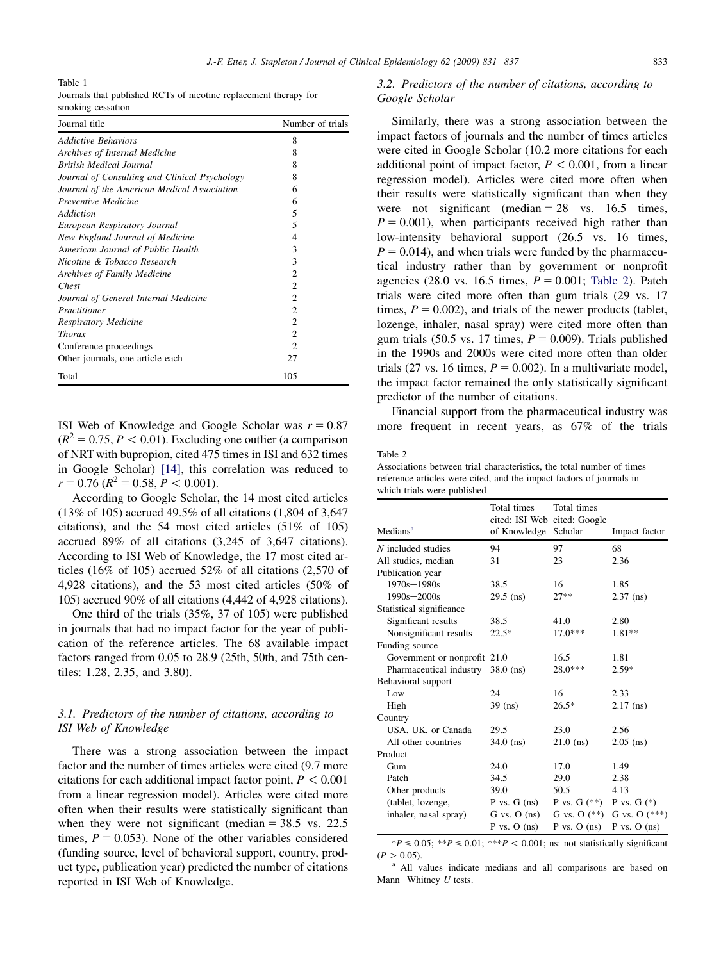<span id="page-2-0"></span>Table 1

Journals that published RCTs of nicotine replacement therapy for smoking cessation

| Journal title                                 | Number of trials            |
|-----------------------------------------------|-----------------------------|
| <i><b>Addictive Behaviors</b></i>             | 8                           |
| Archives of Internal Medicine                 | 8                           |
| <b>British Medical Journal</b>                | 8                           |
| Journal of Consulting and Clinical Psychology | 8                           |
| Journal of the American Medical Association   | 6                           |
| Preventive Medicine                           | 6                           |
| Addiction                                     | 5                           |
| European Respiratory Journal                  | 5                           |
| New England Journal of Medicine               | 4                           |
| American Journal of Public Health             | 3                           |
| Nicotine & Tobacco Research                   | 3                           |
| Archives of Family Medicine                   | $\overline{c}$              |
| Chest                                         | $\overline{c}$              |
| Journal of General Internal Medicine          | $\overline{c}$              |
| Practitioner                                  | $\overline{c}$              |
| <b>Respiratory Medicine</b>                   | $\mathfrak{D}$              |
| Thorax                                        | $\overline{c}$              |
| Conference proceedings                        | $\mathcal{D}_{\mathcal{L}}$ |
| Other journals, one article each              | 27                          |
| Total                                         | 105                         |

ISI Web of Knowledge and Google Scholar was  $r = 0.87$  $(R<sup>2</sup> = 0.75, P < 0.01)$ . Excluding one outlier (a comparison of NRT with bupropion, cited 475 times in ISI and 632 times in Google Scholar) [\[14\]](#page-5-0), this correlation was reduced to  $r = 0.76$  ( $R^2 = 0.58$ ,  $P < 0.001$ ).

According to Google Scholar, the 14 most cited articles (13% of 105) accrued 49.5% of all citations (1,804 of 3,647 citations), and the 54 most cited articles (51% of 105) accrued 89% of all citations (3,245 of 3,647 citations). According to ISI Web of Knowledge, the 17 most cited articles (16% of 105) accrued 52% of all citations (2,570 of 4,928 citations), and the 53 most cited articles (50% of 105) accrued 90% of all citations (4,442 of 4,928 citations).

One third of the trials (35%, 37 of 105) were published in journals that had no impact factor for the year of publication of the reference articles. The 68 available impact factors ranged from 0.05 to 28.9 (25th, 50th, and 75th centiles: 1.28, 2.35, and 3.80).

# 3.1. Predictors of the number of citations, according to ISI Web of Knowledge

There was a strong association between the impact factor and the number of times articles were cited (9.7 more citations for each additional impact factor point,  $P < 0.001$ from a linear regression model). Articles were cited more often when their results were statistically significant than when they were not significant (median  $= 38.5$  vs. 22.5 times,  $P = 0.053$ ). None of the other variables considered (funding source, level of behavioral support, country, product type, publication year) predicted the number of citations reported in ISI Web of Knowledge.

# 3.2. Predictors of the number of citations, according to Google Scholar

Similarly, there was a strong association between the impact factors of journals and the number of times articles were cited in Google Scholar (10.2 more citations for each additional point of impact factor,  $P < 0.001$ , from a linear regression model). Articles were cited more often when their results were statistically significant than when they were not significant (median  $= 28$  vs. 16.5 times,  $P = 0.001$ , when participants received high rather than low-intensity behavioral support (26.5 vs. 16 times,  $P = 0.014$ , and when trials were funded by the pharmaceutical industry rather than by government or nonprofit agencies (28.0 vs. 16.5 times,  $P = 0.001$ ; Table 2). Patch trials were cited more often than gum trials (29 vs. 17 times,  $P = 0.002$ ), and trials of the newer products (tablet, lozenge, inhaler, nasal spray) were cited more often than gum trials (50.5 vs. 17 times,  $P = 0.009$ ). Trials published in the 1990s and 2000s were cited more often than older trials (27 vs. 16 times,  $P = 0.002$ ). In a multivariate model, the impact factor remained the only statistically significant predictor of the number of citations.

Financial support from the pharmaceutical industry was more frequent in recent years, as 67% of the trials

#### Table 2

Associations between trial characteristics, the total number of times reference articles were cited, and the impact factors of journals in which trials were published

|                              | Total times                  | Total times      |                  |
|------------------------------|------------------------------|------------------|------------------|
|                              | cited: ISI Web cited: Google |                  |                  |
| Medians <sup>a</sup>         | of Knowledge                 | Scholar          | Impact factor    |
| N included studies           | 94                           | 97               | 68               |
| All studies, median          | 31                           | 23               | 2.36             |
| Publication year             |                              |                  |                  |
| $1970s - 1980s$              | 38.5                         | 16               | 1.85             |
| $1990s - 2000s$              | $29.5$ (ns)                  | $27**$           | $2.37$ (ns)      |
| Statistical significance     |                              |                  |                  |
| Significant results          | 38.5                         | 41.0             | 2.80             |
| Nonsignificant results       | $22.5*$                      | $17.0***$        | 1.81**           |
| Funding source               |                              |                  |                  |
| Government or nonprofit 21.0 |                              | 16.5             | 1.81             |
| Pharmaceutical industry      | $38.0$ (ns)                  | 28.0***          | $2.59*$          |
| Behavioral support           |                              |                  |                  |
| Low                          | 24                           | 16               | 2.33             |
| High                         | $39$ (ns)                    | $26.5*$          | $2.17$ (ns)      |
| Country                      |                              |                  |                  |
| USA, UK, or Canada           | 29.5                         | 23.0             | 2.56             |
| All other countries          | $34.0$ (ns)                  | $21.0$ (ns)      | $2.05$ (ns)      |
| Product                      |                              |                  |                  |
| Gum                          | 24.0                         | 17.0             | 1.49             |
| Patch                        | 34.5                         | 29.0             | 2.38             |
| Other products               | 39.0                         | 50.5             | 4.13             |
| (tablet, lozenge,            | $P$ vs. $G$ (ns)             | P vs. $G$ $(**)$ | P vs. $G$ $(*)$  |
| inhaler, nasal spray)        | G vs. $O$ (ns)               | G vs. O $(**)$   | G vs. O $(***)$  |
|                              | $P$ vs. $O$ (ns)             | P vs. O (ns)     | $P$ vs. $O$ (ns) |

 $*P \le 0.05$ ;  $*P \le 0.01$ ;  $**P < 0.001$ ; ns: not statistically significant  $(P > 0.05)$ .<br><sup>a</sup> All values indicate medians and all comparisons are based on

Mann-Whitney  $U$  tests.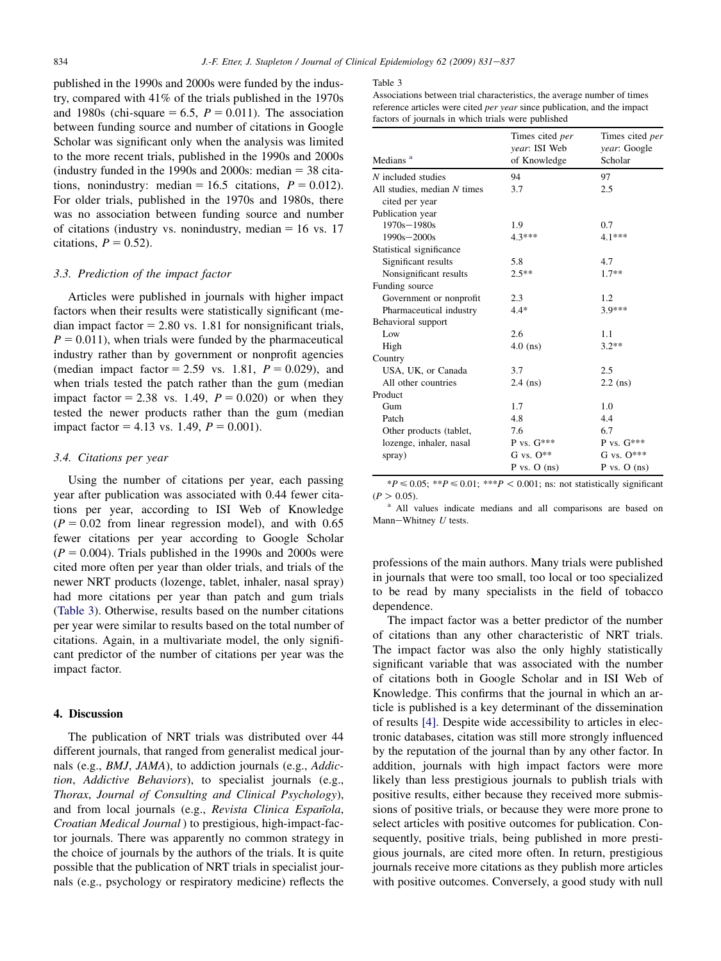published in the 1990s and 2000s were funded by the industry, compared with 41% of the trials published in the 1970s and 1980s (chi-square = 6.5,  $P = 0.011$ ). The association between funding source and number of citations in Google Scholar was significant only when the analysis was limited to the more recent trials, published in the 1990s and 2000s (industry funded in the 1990s and 2000s: median  $=$  38 citations, nonindustry: median = 16.5 citations,  $P = 0.012$ ). For older trials, published in the 1970s and 1980s, there was no association between funding source and number of citations (industry vs. nonindustry, median  $= 16$  vs. 17 citations,  $P = 0.52$ ).

# 3.3. Prediction of the impact factor

Articles were published in journals with higher impact factors when their results were statistically significant (median impact factor  $= 2.80$  vs. 1.81 for nonsignificant trials,  $P = 0.011$ , when trials were funded by the pharmaceutical industry rather than by government or nonprofit agencies (median impact factor  $= 2.59$  vs. 1.81,  $P = 0.029$ ), and when trials tested the patch rather than the gum (median impact factor = 2.38 vs. 1.49,  $P = 0.020$  or when they tested the newer products rather than the gum (median impact factor = 4.13 vs. 1.49,  $P = 0.001$ ).

## 3.4. Citations per year

Using the number of citations per year, each passing year after publication was associated with 0.44 fewer citations per year, according to ISI Web of Knowledge  $(P = 0.02$  from linear regression model), and with 0.65 fewer citations per year according to Google Scholar  $(P = 0.004)$ . Trials published in the 1990s and 2000s were cited more often per year than older trials, and trials of the newer NRT products (lozenge, tablet, inhaler, nasal spray) had more citations per year than patch and gum trials (Table 3). Otherwise, results based on the number citations per year were similar to results based on the total number of citations. Again, in a multivariate model, the only significant predictor of the number of citations per year was the impact factor.

## 4. Discussion

The publication of NRT trials was distributed over 44 different journals, that ranged from generalist medical journals (e.g., BMJ, JAMA), to addiction journals (e.g., Addiction, Addictive Behaviors), to specialist journals (e.g., Thorax, Journal of Consulting and Clinical Psychology), and from local journals (e.g., Revista Clinica Española, Croatian Medical Journal ) to prestigious, high-impact-factor journals. There was apparently no common strategy in the choice of journals by the authors of the trials. It is quite possible that the publication of NRT trials in specialist journals (e.g., psychology or respiratory medicine) reflects the

#### Table 3

Associations between trial characteristics, the average number of times reference articles were cited per year since publication, and the impact factors of journals in which trials were published

| Medians <sup>a</sup>        | Times cited per<br>year: ISI Web<br>of Knowledge | Times cited per<br>year: Google<br>Scholar |
|-----------------------------|--------------------------------------------------|--------------------------------------------|
| $N$ included studies        | 94                                               | 97                                         |
| All studies, median N times | 3.7                                              | 2.5                                        |
| cited per year              |                                                  |                                            |
| Publication year            |                                                  |                                            |
| $1970s - 1980s$             | 1.9                                              | 0.7                                        |
| $1990s - 2000s$             | $4.3***$                                         | $4.1***$                                   |
| Statistical significance    |                                                  |                                            |
| Significant results         | 5.8                                              | 4.7                                        |
| Nonsignificant results      | $2.5***$                                         | $1.7**$                                    |
| Funding source              |                                                  |                                            |
| Government or nonprofit     | 2.3                                              | 1.2                                        |
| Pharmaceutical industry     | $4.4*$                                           | 3.9***                                     |
| Behavioral support          |                                                  |                                            |
| Low                         | 2.6                                              | 1.1                                        |
| High                        | $4.0$ (ns)                                       | $3.2**$                                    |
| Country                     |                                                  |                                            |
| USA, UK, or Canada          | 3.7                                              | 2.5                                        |
| All other countries         | $2.4$ (ns)                                       | $2.2$ (ns)                                 |
| Product                     |                                                  |                                            |
| Gum                         | 1.7                                              | 1.0                                        |
| Patch                       | 4.8                                              | 4.4                                        |
| Other products (tablet,     | 7.6                                              | 6.7                                        |
| lozenge, inhaler, nasal     | $P$ vs. $G***$                                   | $P$ vs. $G***$                             |
| spray)                      | G vs. $O^{**}$                                   | G vs. $O^{***}$                            |
|                             | $P$ vs. $O$ (ns)                                 | $P$ vs. $O$ (ns)                           |

 $*P \le 0.05$ ;  $**P \le 0.01$ ;  $**P < 0.001$ ; ns: not statistically significant  $(P > 0.05)$ .

<sup>a</sup> All values indicate medians and all comparisons are based on Mann-Whitney  $U$  tests.

professions of the main authors. Many trials were published in journals that were too small, too local or too specialized to be read by many specialists in the field of tobacco dependence.

The impact factor was a better predictor of the number of citations than any other characteristic of NRT trials. The impact factor was also the only highly statistically significant variable that was associated with the number of citations both in Google Scholar and in ISI Web of Knowledge. This confirms that the journal in which an article is published is a key determinant of the dissemination of results [\[4\]](#page-5-0). Despite wide accessibility to articles in electronic databases, citation was still more strongly influenced by the reputation of the journal than by any other factor. In addition, journals with high impact factors were more likely than less prestigious journals to publish trials with positive results, either because they received more submissions of positive trials, or because they were more prone to select articles with positive outcomes for publication. Consequently, positive trials, being published in more prestigious journals, are cited more often. In return, prestigious journals receive more citations as they publish more articles with positive outcomes. Conversely, a good study with null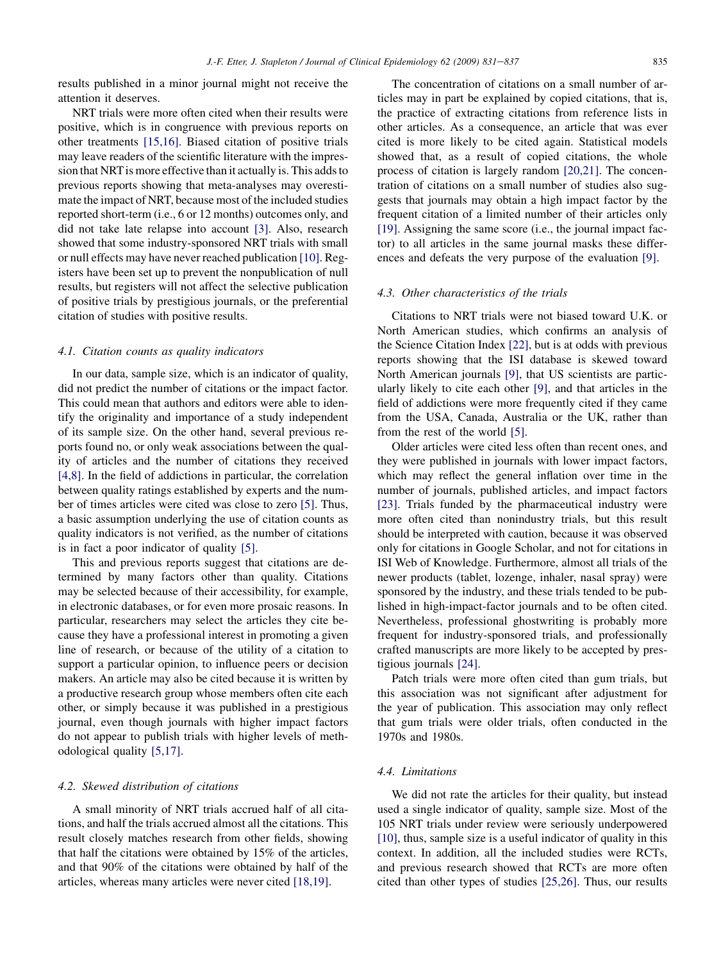results published in a minor journal might not receive the attention it deserves.

NRT trials were more often cited when their results were positive, which is in congruence with previous reports on other treatments [\[15,16\]](#page-5-0). Biased citation of positive trials may leave readers of the scientific literature with the impression that NRT is more effective than it actually is. This adds to previous reports showing that meta-analyses may overestimate the impact of NRT, because most of the included studies reported short-term (i.e., 6 or 12 months) outcomes only, and did not take late relapse into account [\[3\]](#page-5-0). Also, research showed that some industry-sponsored NRT trials with small or null effects may have never reached publication [\[10\]](#page-5-0). Registers have been set up to prevent the nonpublication of null results, but registers will not affect the selective publication of positive trials by prestigious journals, or the preferential citation of studies with positive results.

#### 4.1. Citation counts as quality indicators

In our data, sample size, which is an indicator of quality, did not predict the number of citations or the impact factor. This could mean that authors and editors were able to identify the originality and importance of a study independent of its sample size. On the other hand, several previous reports found no, or only weak associations between the quality of articles and the number of citations they received [\[4,8\].](#page-5-0) In the field of addictions in particular, the correlation between quality ratings established by experts and the number of times articles were cited was close to zero [\[5\]](#page-5-0). Thus, a basic assumption underlying the use of citation counts as quality indicators is not verified, as the number of citations is in fact a poor indicator of quality [\[5\]](#page-5-0).

This and previous reports suggest that citations are determined by many factors other than quality. Citations may be selected because of their accessibility, for example, in electronic databases, or for even more prosaic reasons. In particular, researchers may select the articles they cite because they have a professional interest in promoting a given line of research, or because of the utility of a citation to support a particular opinion, to influence peers or decision makers. An article may also be cited because it is written by a productive research group whose members often cite each other, or simply because it was published in a prestigious journal, even though journals with higher impact factors do not appear to publish trials with higher levels of methodological quality [\[5,17\].](#page-5-0)

# 4.2. Skewed distribution of citations

A small minority of NRT trials accrued half of all citations, and half the trials accrued almost all the citations. This result closely matches research from other fields, showing that half the citations were obtained by 15% of the articles, and that 90% of the citations were obtained by half of the articles, whereas many articles were never cited [\[18,19\].](#page-6-0)

The concentration of citations on a small number of articles may in part be explained by copied citations, that is, the practice of extracting citations from reference lists in other articles. As a consequence, an article that was ever cited is more likely to be cited again. Statistical models showed that, as a result of copied citations, the whole process of citation is largely random [\[20,21\]](#page-6-0). The concentration of citations on a small number of studies also suggests that journals may obtain a high impact factor by the frequent citation of a limited number of their articles only [\[19\]](#page-6-0). Assigning the same score (i.e., the journal impact factor) to all articles in the same journal masks these differences and defeats the very purpose of the evaluation [\[9\].](#page-5-0)

## 4.3. Other characteristics of the trials

Citations to NRT trials were not biased toward U.K. or North American studies, which confirms an analysis of the Science Citation Index [\[22\],](#page-6-0) but is at odds with previous reports showing that the ISI database is skewed toward North American journals [\[9\],](#page-5-0) that US scientists are particularly likely to cite each other [\[9\]](#page-5-0), and that articles in the field of addictions were more frequently cited if they came from the USA, Canada, Australia or the UK, rather than from the rest of the world [\[5\]](#page-5-0).

Older articles were cited less often than recent ones, and they were published in journals with lower impact factors, which may reflect the general inflation over time in the number of journals, published articles, and impact factors [\[23\]](#page-6-0). Trials funded by the pharmaceutical industry were more often cited than nonindustry trials, but this result should be interpreted with caution, because it was observed only for citations in Google Scholar, and not for citations in ISI Web of Knowledge. Furthermore, almost all trials of the newer products (tablet, lozenge, inhaler, nasal spray) were sponsored by the industry, and these trials tended to be published in high-impact-factor journals and to be often cited. Nevertheless, professional ghostwriting is probably more frequent for industry-sponsored trials, and professionally crafted manuscripts are more likely to be accepted by prestigious journals [\[24\].](#page-6-0)

Patch trials were more often cited than gum trials, but this association was not significant after adjustment for the year of publication. This association may only reflect that gum trials were older trials, often conducted in the 1970s and 1980s.

## 4.4. Limitations

We did not rate the articles for their quality, but instead used a single indicator of quality, sample size. Most of the 105 NRT trials under review were seriously underpowered [\[10\]](#page-5-0), thus, sample size is a useful indicator of quality in this context. In addition, all the included studies were RCTs, and previous research showed that RCTs are more often cited than other types of studies [\[25,26\]](#page-6-0). Thus, our results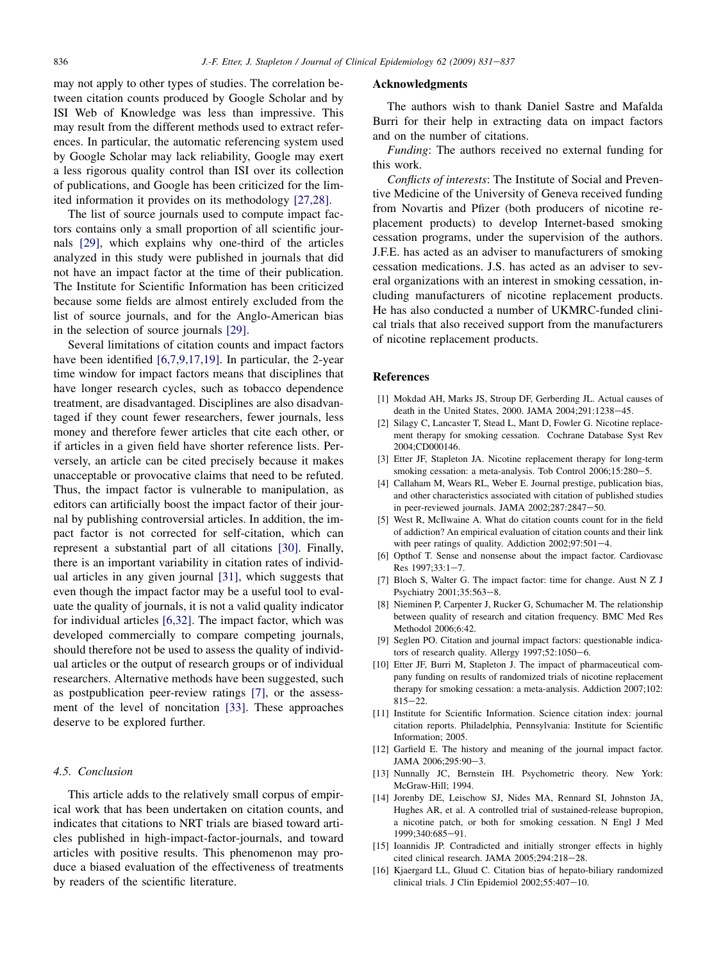<span id="page-5-0"></span>may not apply to other types of studies. The correlation between citation counts produced by Google Scholar and by ISI Web of Knowledge was less than impressive. This may result from the different methods used to extract references. In particular, the automatic referencing system used by Google Scholar may lack reliability, Google may exert a less rigorous quality control than ISI over its collection of publications, and Google has been criticized for the limited information it provides on its methodology [\[27,28\]](#page-6-0).

The list of source journals used to compute impact factors contains only a small proportion of all scientific journals [\[29\]](#page-6-0), which explains why one-third of the articles analyzed in this study were published in journals that did not have an impact factor at the time of their publication. The Institute for Scientific Information has been criticized because some fields are almost entirely excluded from the list of source journals, and for the Anglo-American bias in the selection of source journals [\[29\]](#page-6-0).

Several limitations of citation counts and impact factors have been identified [6,7,9,17,19]. In particular, the 2-year time window for impact factors means that disciplines that have longer research cycles, such as tobacco dependence treatment, are disadvantaged. Disciplines are also disadvantaged if they count fewer researchers, fewer journals, less money and therefore fewer articles that cite each other, or if articles in a given field have shorter reference lists. Perversely, an article can be cited precisely because it makes unacceptable or provocative claims that need to be refuted. Thus, the impact factor is vulnerable to manipulation, as editors can artificially boost the impact factor of their journal by publishing controversial articles. In addition, the impact factor is not corrected for self-citation, which can represent a substantial part of all citations [\[30\].](#page-6-0) Finally, there is an important variability in citation rates of individual articles in any given journal [\[31\]](#page-6-0), which suggests that even though the impact factor may be a useful tool to evaluate the quality of journals, it is not a valid quality indicator for individual articles [6,32]. The impact factor, which was developed commercially to compare competing journals, should therefore not be used to assess the quality of individual articles or the output of research groups or of individual researchers. Alternative methods have been suggested, such as postpublication peer-review ratings [7], or the assessment of the level of noncitation [\[33\]](#page-6-0). These approaches deserve to be explored further.

## 4.5. Conclusion

This article adds to the relatively small corpus of empirical work that has been undertaken on citation counts, and indicates that citations to NRT trials are biased toward articles published in high-impact-factor-journals, and toward articles with positive results. This phenomenon may produce a biased evaluation of the effectiveness of treatments by readers of the scientific literature.

## Acknowledgments

The authors wish to thank Daniel Sastre and Mafalda Burri for their help in extracting data on impact factors and on the number of citations.

Funding: The authors received no external funding for this work.

Conflicts of interests: The Institute of Social and Preventive Medicine of the University of Geneva received funding from Novartis and Pfizer (both producers of nicotine replacement products) to develop Internet-based smoking cessation programs, under the supervision of the authors. J.F.E. has acted as an adviser to manufacturers of smoking cessation medications. J.S. has acted as an adviser to several organizations with an interest in smoking cessation, including manufacturers of nicotine replacement products. He has also conducted a number of UKMRC-funded clinical trials that also received support from the manufacturers of nicotine replacement products.

#### References

- [1] Mokdad AH, Marks JS, Stroup DF, Gerberding JL. Actual causes of death in the United States, 2000. JAMA 2004;291:1238-45.
- [2] Silagy C, Lancaster T, Stead L, Mant D, Fowler G. Nicotine replacement therapy for smoking cessation. Cochrane Database Syst Rev 2004;CD000146.
- [3] Etter JF, Stapleton JA. Nicotine replacement therapy for long-term smoking cessation: a meta-analysis. Tob Control 2006;15:280-5.
- [4] Callaham M, Wears RL, Weber E. Journal prestige, publication bias, and other characteristics associated with citation of published studies in peer-reviewed journals. JAMA  $2002;287:2847-50$ .
- [5] West R, McIlwaine A. What do citation counts count for in the field of addiction? An empirical evaluation of citation counts and their link with peer ratings of quality. Addiction  $2002;97:501-4$ .
- [6] Opthof T. Sense and nonsense about the impact factor. Cardiovasc Res 1997:33:1-7.
- [7] Bloch S, Walter G. The impact factor: time for change. Aust N Z J Psychiatry 2001:35:563-8.
- [8] Nieminen P, Carpenter J, Rucker G, Schumacher M. The relationship between quality of research and citation frequency. BMC Med Res Methodol 2006;6:42.
- [9] Seglen PO. Citation and journal impact factors: questionable indicators of research quality. Allergy  $1997;52:1050-6$ .
- [10] Etter JF, Burri M, Stapleton J. The impact of pharmaceutical company funding on results of randomized trials of nicotine replacement therapy for smoking cessation: a meta-analysis. Addiction 2007;102:  $815 - 22.$
- [11] Institute for Scientific Information. Science citation index: journal citation reports. Philadelphia, Pennsylvania: Institute for Scientific Information; 2005.
- [12] Garfield E. The history and meaning of the journal impact factor. JAMA 2006;295:90-3.
- [13] Nunnally JC, Bernstein IH. Psychometric theory. New York: McGraw-Hill; 1994.
- [14] Jorenby DE, Leischow SJ, Nides MA, Rennard SI, Johnston JA, Hughes AR, et al. A controlled trial of sustained-release bupropion, a nicotine patch, or both for smoking cessation. N Engl J Med 1999;340:685-91.
- [15] Ioannidis JP. Contradicted and initially stronger effects in highly cited clinical research. JAMA  $2005;294:218-28$ .
- [16] Kjaergard LL, Gluud C. Citation bias of hepato-biliary randomized clinical trials. J Clin Epidemiol  $2002;55:407-10$ .